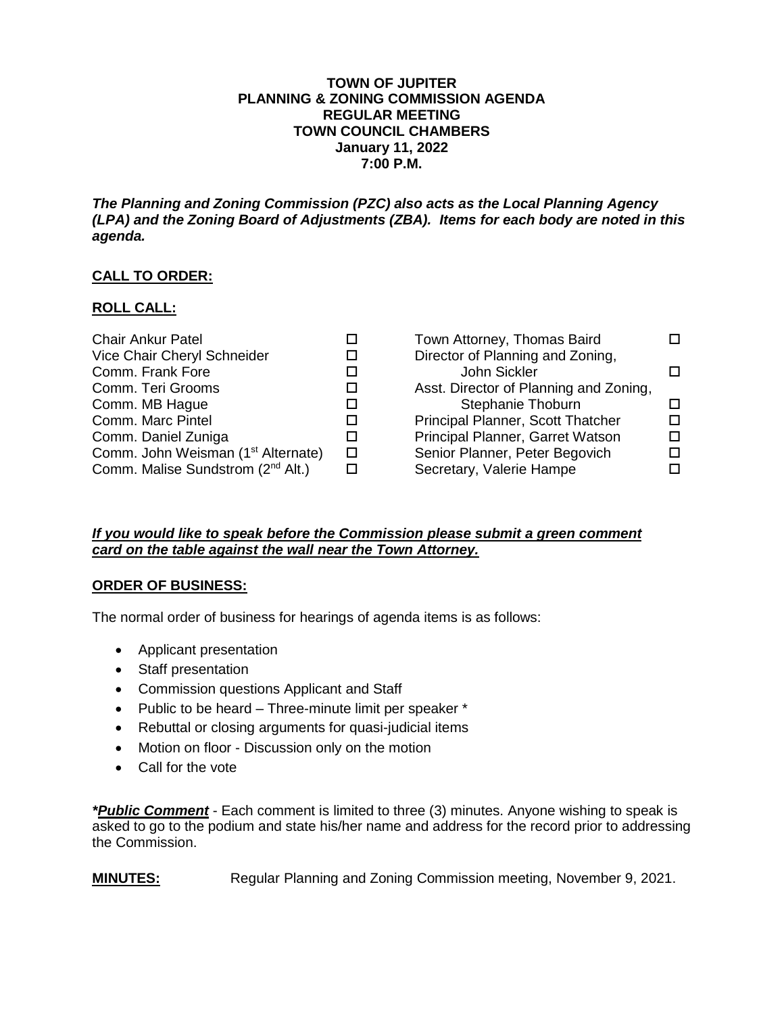#### **TOWN OF JUPITER PLANNING & ZONING COMMISSION AGENDA REGULAR MEETING TOWN COUNCIL CHAMBERS January 11, 2022 7:00 P.M.**

*The Planning and Zoning Commission (PZC) also acts as the Local Planning Agency (LPA) and the Zoning Board of Adjustments (ZBA). Items for each body are noted in this agenda.*

## **CALL TO ORDER:**

## **ROLL CALL:**

| <b>Chair Ankur Patel</b>                       |   | Town Attorney, Thomas Baird            |        |
|------------------------------------------------|---|----------------------------------------|--------|
| Vice Chair Cheryl Schneider                    |   | Director of Planning and Zoning,       |        |
| Comm. Frank Fore                               |   | John Sickler                           |        |
| Comm. Teri Grooms                              |   | Asst. Director of Planning and Zoning, |        |
| Comm. MB Hague                                 |   | Stephanie Thoburn                      |        |
| Comm. Marc Pintel                              |   | Principal Planner, Scott Thatcher      | $\Box$ |
| Comm. Daniel Zuniga                            |   | Principal Planner, Garret Watson       | П.     |
| Comm. John Weisman (1 <sup>st</sup> Alternate) | □ | Senior Planner, Peter Begovich         | п      |
| Comm. Malise Sundstrom (2 <sup>nd</sup> Alt.)  |   | Secretary, Valerie Hampe               | П      |

### *If you would like to speak before the Commission please submit a green comment card on the table against the wall near the Town Attorney.*

### **ORDER OF BUSINESS:**

The normal order of business for hearings of agenda items is as follows:

- Applicant presentation
- Staff presentation
- Commission questions Applicant and Staff
- Public to be heard Three-minute limit per speaker \*
- Rebuttal or closing arguments for quasi-judicial items
- Motion on floor Discussion only on the motion
- Call for the vote

*\*Public Comment* - Each comment is limited to three (3) minutes. Anyone wishing to speak is asked to go to the podium and state his/her name and address for the record prior to addressing the Commission.

**MINUTES:** Regular Planning and Zoning Commission meeting, November 9, 2021.